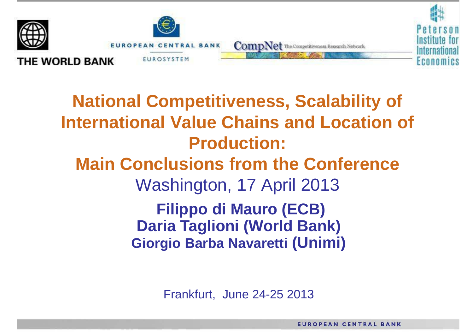

**Filippo di Mauro (ECB) Daria Taglioni (World Bank) Giorgio Barba Navaretti (Unimi) National Competitiveness, Scalability of International Value Chains and Location of Production: Main Conclusions from the Conference** Washington, 17 April 2013

Frankfurt, June 24-25 2013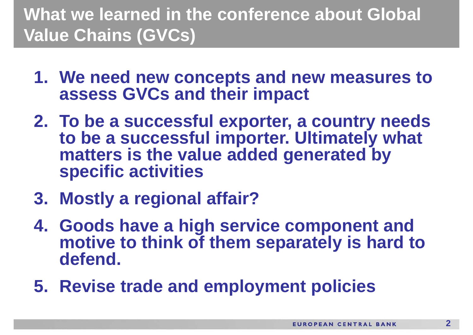# **What we learned in the conference about Global Value Chains (GVCs)**

- **1. We need new concepts and new measures to assess GVCs and their impact**
- **2. To be a successful exporter, a country needs to be a successful importer. Ultimately what matters is the value added generated by specific activities**
- **3. Mostly a regional affair?**
- **4. Goods have a high service component and motive to think of them separately is hard to defend.**
- **5. Revise trade and employment policies**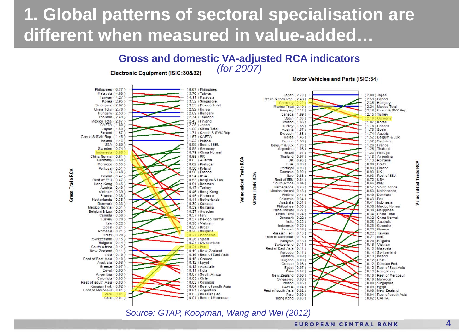# **1. Global patterns of sectoral specialisation are different when measured in value-added…**



*Source: GTAP, Koopman, Wang and Wei (2012)*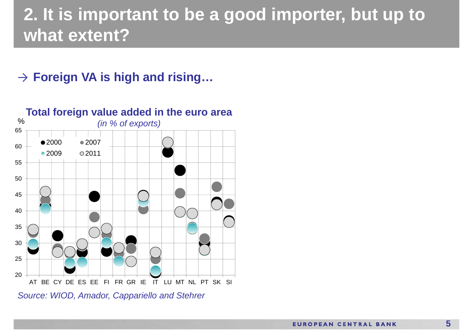# **2. It is important to be a good importer, but up to what extent?**

### → **Foreign VA is high and rising…**



*Source: WIOD, Amador, Cappariello and Stehrer*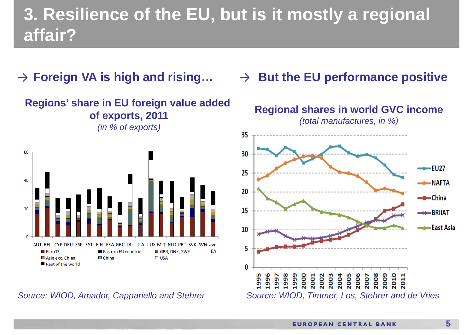# **3. Resilience of the EU, but is it mostly a regional affair?**







*Source: WIOD, Amador, Cappariello and Stehrer*

#### → **But the EU performance positive**

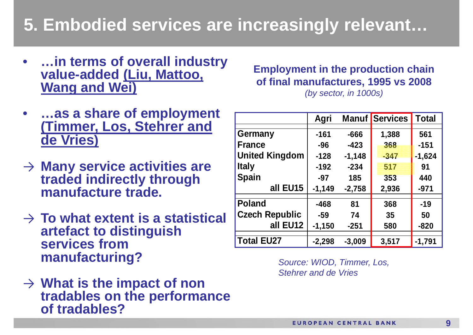## **5. Embodied services are increasingly relevant…**

- $\bullet$  **…in terms of overall industry value-added (Liu, Mattoo, Wang and Wei)**
- • **…as a share of employment (Timmer, Los, Stehrer and de Vries )**
- → **Many service activities are traded indirectly through manufacture trade.**
- → **To what extent is a statistical artefact to distinguish services from manufacturing?**
- → **What is the impact of non tradables on the performance of tradables?**

#### **Employment in the production chain of final manufactures, 1995 vs 2008**

*(by sector, in 1000s)*

|                       | Agri     |          | <b>Manuf Services</b> | <b>Total</b> |
|-----------------------|----------|----------|-----------------------|--------------|
| <b>Germany</b>        | $-161$   | $-666$   | 1,388                 | 561          |
| <b>France</b>         | $-96$    | $-423$   | 368                   | $-151$       |
|                       |          |          |                       |              |
| <b>United Kingdom</b> | $-128$   | $-1,148$ | $-347$                | $-1,624$     |
| <b>Italy</b>          | $-192$   | $-234$   | 517                   | 91           |
| <b>Spain</b>          | $-97$    | 185      | 353                   | 440          |
| all EU15              | $-1,149$ | $-2,758$ | 2,936                 | $-971$       |
| <b>Poland</b>         | $-468$   | 81       | 368                   | $-19$        |
| <b>Czech Republic</b> | $-59$    | 74       | 35                    | 50           |
| all EU12              | $-1,150$ | $-251$   | 580                   | $-820$       |
| <b>Total EU27</b>     | $-2,298$ | $-3,009$ | 3,517                 | $-1,791$     |

*Source: WIOD, Timmer, Los, Stehrer and de Vries*